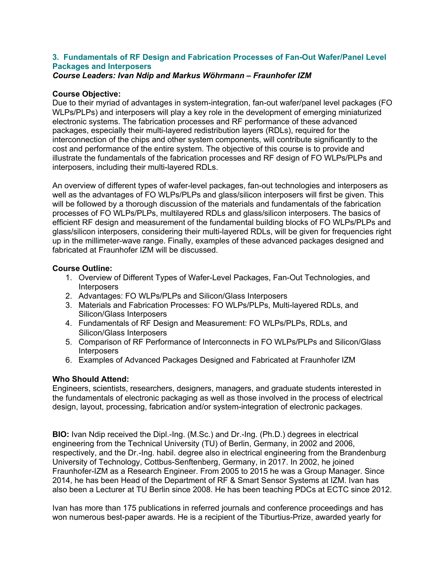# **3. Fundamentals of RF Design and Fabrication Processes of Fan-Out Wafer/Panel Level Packages and Interposers**

### *Course Leaders: Ivan Ndip and Markus Wöhrmann – Fraunhofer IZM*

### **Course Objective:**

Due to their myriad of advantages in system-integration, fan-out wafer/panel level packages (FO WLPs/PLPs) and interposers will play a key role in the development of emerging miniaturized electronic systems. The fabrication processes and RF performance of these advanced packages, especially their multi-layered redistribution layers (RDLs), required for the interconnection of the chips and other system components, will contribute significantly to the cost and performance of the entire system. The objective of this course is to provide and illustrate the fundamentals of the fabrication processes and RF design of FO WLPs/PLPs and interposers, including their multi-layered RDLs.

An overview of different types of wafer-level packages, fan-out technologies and interposers as well as the advantages of FO WLPs/PLPs and glass/silicon interposers will first be given. This will be followed by a thorough discussion of the materials and fundamentals of the fabrication processes of FO WLPs/PLPs, multilayered RDLs and glass/silicon interposers. The basics of efficient RF design and measurement of the fundamental building blocks of FO WLPs/PLPs and glass/silicon interposers, considering their multi-layered RDLs, will be given for frequencies right up in the millimeter-wave range. Finally, examples of these advanced packages designed and fabricated at Fraunhofer IZM will be discussed.

#### **Course Outline:**

- 1. Overview of Different Types of Wafer-Level Packages, Fan-Out Technologies, and **Interposers**
- 2. Advantages: FO WLPs/PLPs and Silicon/Glass Interposers
- 3. Materials and Fabrication Processes: FO WLPs/PLPs, Multi-layered RDLs, and Silicon/Glass Interposers
- 4. Fundamentals of RF Design and Measurement: FO WLPs/PLPs, RDLs, and Silicon/Glass Interposers
- 5. Comparison of RF Performance of Interconnects in FO WLPs/PLPs and Silicon/Glass **Interposers**
- 6. Examples of Advanced Packages Designed and Fabricated at Fraunhofer IZM

## **Who Should Attend:**

Engineers, scientists, researchers, designers, managers, and graduate students interested in the fundamentals of electronic packaging as well as those involved in the process of electrical design, layout, processing, fabrication and/or system-integration of electronic packages.

**BIO:** Ivan Ndip received the Dipl.-Ing. (M.Sc.) and Dr.-Ing. (Ph.D.) degrees in electrical engineering from the Technical University (TU) of Berlin, Germany, in 2002 and 2006, respectively, and the Dr.-Ing. habil. degree also in electrical engineering from the Brandenburg University of Technology, Cottbus-Senftenberg, Germany, in 2017. In 2002, he joined Fraunhofer-IZM as a Research Engineer. From 2005 to 2015 he was a Group Manager. Since 2014, he has been Head of the Department of RF & Smart Sensor Systems at IZM. Ivan has also been a Lecturer at TU Berlin since 2008. He has been teaching PDCs at ECTC since 2012.

Ivan has more than 175 publications in referred journals and conference proceedings and has won numerous best-paper awards. He is a recipient of the Tiburtius-Prize, awarded yearly for